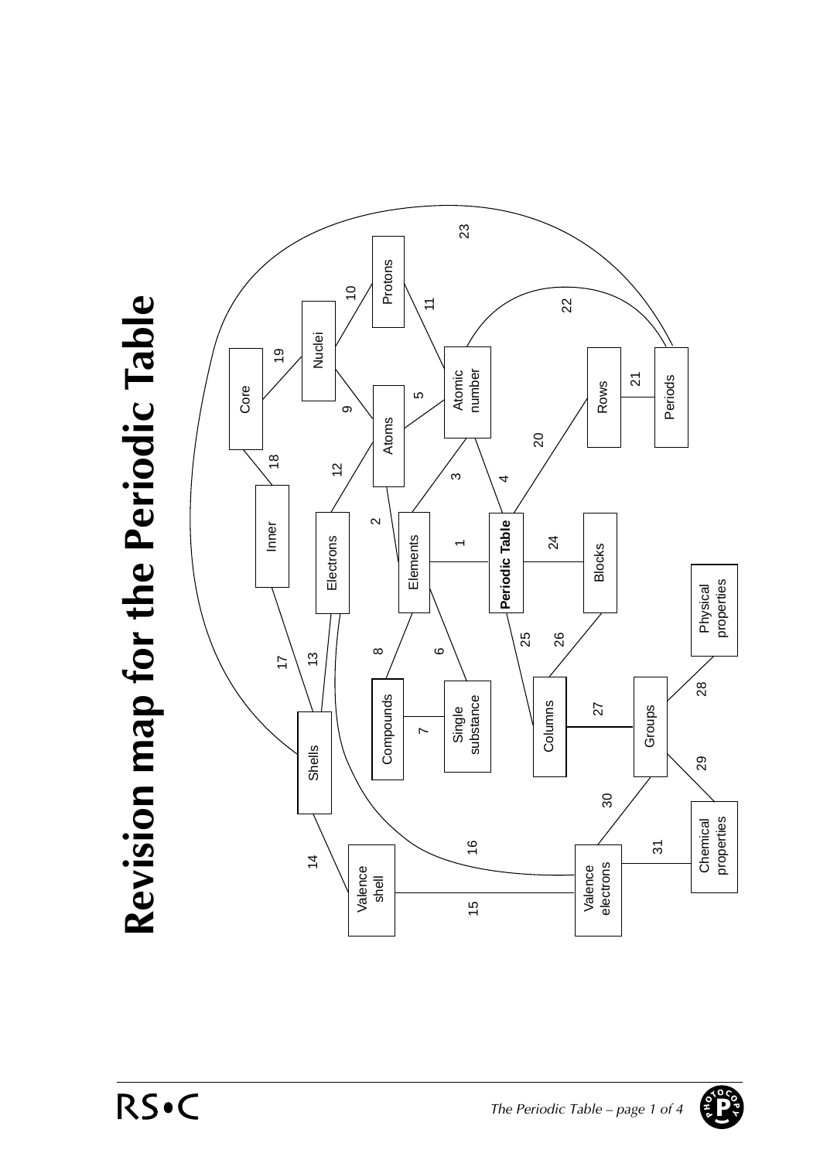## Revision map for the Periodic Table **Revision map for the Periodic Table**



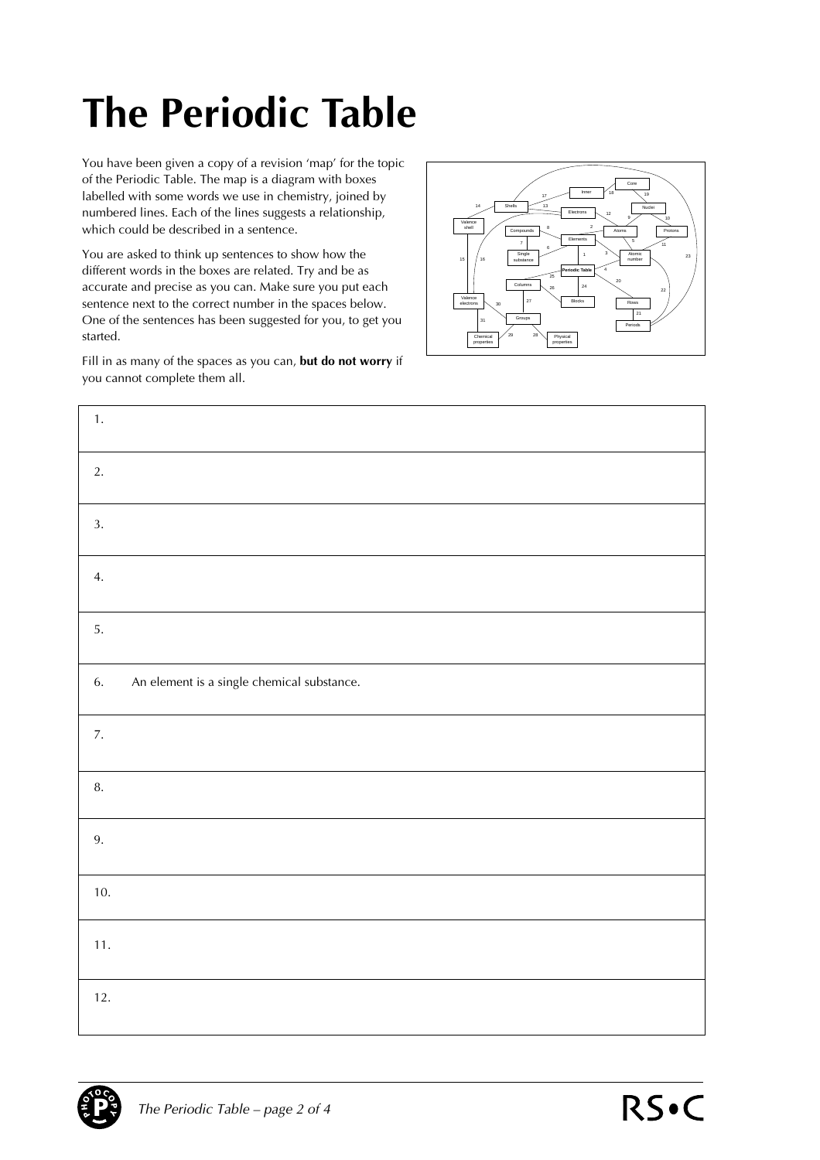## **The Periodic Table**

You have been given a copy of a revision 'map' for the topic of the Periodic Table. The map is a diagram with boxes labelled with some words we use in chemistry, joined by numbered lines. Each of the lines suggests a relationship, which could be described in a sentence.

You are asked to think up sentences to show how the different words in the boxes are related. Try and be as accurate and precise as you can. Make sure you put each sentence next to the correct number in the spaces below. One of the sentences has been suggested for you, to get you started.

Fill in as many of the spaces as you can, **but do not worry** if you cannot complete them all.



| 1.    |                                            |
|-------|--------------------------------------------|
| 2.    |                                            |
| 3.    |                                            |
| 4.    |                                            |
| 5.    |                                            |
| 6.    | An element is a single chemical substance. |
| 7.    |                                            |
| 8.    |                                            |
| 9.    |                                            |
| 10.   |                                            |
| $11.$ |                                            |
| 12.   |                                            |

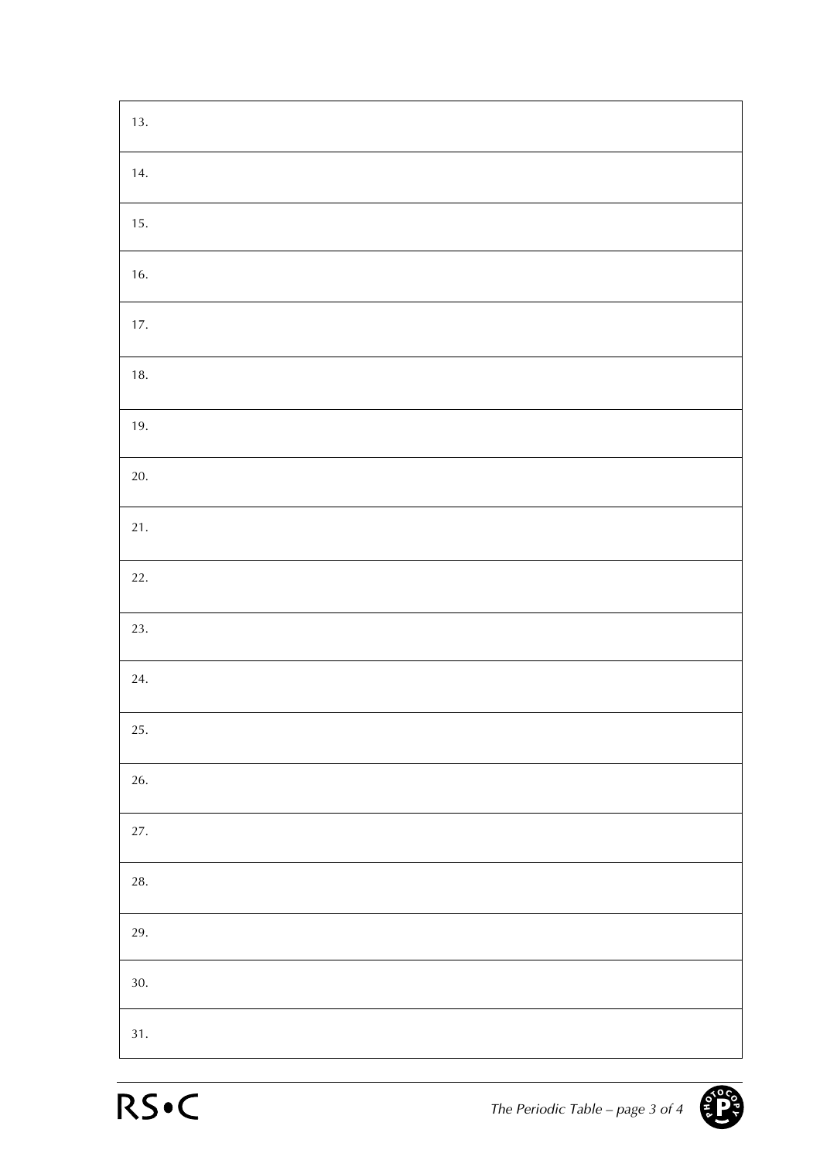| 13.      |
|----------|
| 14.      |
| 15.      |
| 16.      |
| 17.      |
| 18.      |
| 19.      |
| 20.      |
| 21.      |
| 22.      |
| 23.      |
| 24.      |
| 25.      |
| $26. \,$ |
| 27.      |
| $28. \,$ |
| 29.      |
| 30.      |
| 31.      |